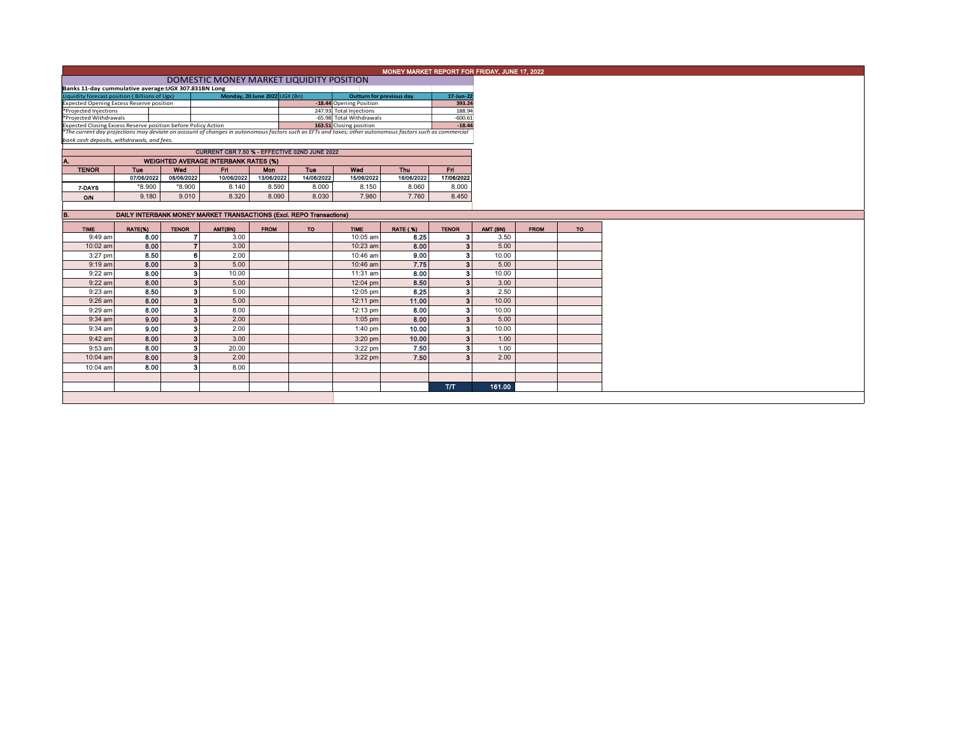|                                                                                                                                                          | MONEY MARKET REPORT FOR FRIDAY, JUNE 17, 2022                       |                         |                                             |                               |            |                                 |                 |                  |          |             |    |
|----------------------------------------------------------------------------------------------------------------------------------------------------------|---------------------------------------------------------------------|-------------------------|---------------------------------------------|-------------------------------|------------|---------------------------------|-----------------|------------------|----------|-------------|----|
|                                                                                                                                                          |                                                                     |                         |                                             |                               |            |                                 |                 |                  |          |             |    |
|                                                                                                                                                          | Banks 11-day cummulative average:UGX 307.831BN Long                 |                         |                                             |                               |            |                                 |                 |                  |          |             |    |
|                                                                                                                                                          | Liquidity forecast position (Billions of Ugx)                       |                         |                                             | Monday, 20 June 2022 UGX (Bn) |            | <b>Outturn for previous day</b> |                 | 17-Jun-22        |          |             |    |
|                                                                                                                                                          | <b>Expected Opening Excess Reserve position</b>                     |                         |                                             |                               |            | -18.44 Opening Position         |                 |                  |          |             |    |
| *Projected Injections                                                                                                                                    |                                                                     |                         |                                             |                               |            | 247.93 Total Injections         |                 | 393.24<br>188.94 |          |             |    |
| *Projected Withdrawals                                                                                                                                   |                                                                     |                         |                                             |                               |            | -65.98 Total Withdrawals        |                 | $-600.61$        |          |             |    |
| 163.51 Closing position<br>Expected Closing Excess Reserve position before Policy Action                                                                 |                                                                     |                         |                                             |                               |            |                                 |                 | $-18.44$         |          |             |    |
| *The current day projections may deviate on account of changes in autonomous factors such as EFTs and taxes; other autonomous factors such as commercial |                                                                     |                         |                                             |                               |            |                                 |                 |                  |          |             |    |
|                                                                                                                                                          | bank cash deposits, withdrawals, and fees.                          |                         |                                             |                               |            |                                 |                 |                  |          |             |    |
|                                                                                                                                                          | CURRENT CBR 7.50 % - EFFECTIVE 02ND JUNE 2022                       |                         |                                             |                               |            |                                 |                 |                  |          |             |    |
|                                                                                                                                                          |                                                                     |                         |                                             |                               |            |                                 |                 |                  |          |             |    |
| IA.                                                                                                                                                      |                                                                     |                         | <b>WEIGHTED AVERAGE INTERBANK RATES (%)</b> |                               |            |                                 |                 |                  |          |             |    |
| <b>TENOR</b>                                                                                                                                             | Tue                                                                 | Wed                     | Fri                                         | Mon                           | Tue        | Wed                             | Thu             | Fri.             |          |             |    |
|                                                                                                                                                          | 07/06/2022                                                          | 08/06/2022              | 10/06/2022                                  | 13/06/2022                    | 14/06/2022 | 15/06/2022                      | 16/06/2022      | 17/06/2022       |          |             |    |
| 7-DAYS                                                                                                                                                   | $*8.900$                                                            | $*8.900$                | 8.140                                       | 8.590                         | 8.000      | 8.150                           | 8.060           | 8.000            |          |             |    |
| O/N                                                                                                                                                      | 9.180                                                               | 9.010                   | 8.320                                       | 8.090                         | 8.030      | 7.980                           | 7.760           | 8.450            |          |             |    |
|                                                                                                                                                          |                                                                     |                         |                                             |                               |            |                                 |                 |                  |          |             |    |
| B.                                                                                                                                                       | DAILY INTERBANK MONEY MARKET TRANSACTIONS (Excl. REPO Transactions) |                         |                                             |                               |            |                                 |                 |                  |          |             |    |
|                                                                                                                                                          |                                                                     |                         |                                             |                               |            |                                 |                 |                  |          |             |    |
| <b>TIME</b>                                                                                                                                              | RATE(%)                                                             | <b>TENOR</b>            | AMT(BN)                                     | <b>FROM</b>                   | <b>TO</b>  | <b>TIME</b>                     | <b>RATE (%)</b> | <b>TENOR</b>     | AMT (BN) | <b>FROM</b> | TO |
| 9:49 am                                                                                                                                                  | 8.00                                                                |                         | 3.00                                        |                               |            | 10:05 am                        | 8.25            | 3                | 3.50     |             |    |
| 10:02 am                                                                                                                                                 | 8.00                                                                | $\overline{7}$          | 3.00                                        |                               |            | 10:23 am                        | 8.00            | 3 <sup>1</sup>   | 5.00     |             |    |
| 3:27 pm                                                                                                                                                  | 8.50                                                                | 6                       | 2.00                                        |                               |            | 10:46 am                        | 9.00            | 3 <sup>1</sup>   | 10.00    |             |    |
| $9:19$ am                                                                                                                                                | 8.00                                                                | $\overline{\mathbf{3}}$ | 5.00                                        |                               |            | 10:46 am                        | 7.75            | 3 <sup>1</sup>   | 5.00     |             |    |
| 9:22 am                                                                                                                                                  | 8.00                                                                | -3                      | 10.00                                       |                               |            | 11:31 am                        | 8.00            | $\bf{3}$         | 10.00    |             |    |
|                                                                                                                                                          |                                                                     | $\overline{\mathbf{3}}$ |                                             |                               |            |                                 |                 |                  |          |             |    |
| $9:22$ am                                                                                                                                                | 8.00                                                                |                         | 5.00                                        |                               |            | 12:04 pm                        | 8.50            | 3 <sup>1</sup>   | 3.00     |             |    |
| 9:23 am                                                                                                                                                  | 8.50                                                                | 3                       | 5.00                                        |                               |            | 12:05 pm                        | 8.25            | $\mathbf{3}$     | 2.50     |             |    |
| $9:26$ am                                                                                                                                                | 8.00                                                                | $\overline{\mathbf{3}}$ | 5.00                                        |                               |            | 12:11 pm                        | 11.00           | 3 <sup>1</sup>   | 10.00    |             |    |
| 9:29 am                                                                                                                                                  | 8.00                                                                | $\mathbf{3}$            | 8.00                                        |                               |            | 12:13 pm                        | 8.00            | $\bf{3}$         | 10.00    |             |    |
| $9:34$ am                                                                                                                                                | 9.00                                                                | $\overline{3}$          | 2.00                                        |                               |            | $1:05$ pm                       | 8.00            | 3 <sup>1</sup>   | 5.00     |             |    |
| $9:34$ am                                                                                                                                                | 9.00                                                                | 3                       | 2.00                                        |                               |            | $1:40$ pm                       | 10.00           | 3 <sup>1</sup>   | 10.00    |             |    |
|                                                                                                                                                          | 8.00                                                                | $\overline{\mathbf{3}}$ | 3.00                                        |                               |            |                                 | 10.00           | 3 <sup>1</sup>   | 1.00     |             |    |
| 9:42 am                                                                                                                                                  |                                                                     |                         |                                             |                               |            | $3:20$ pm                       |                 |                  |          |             |    |
| 9:53 am                                                                                                                                                  | 8.00                                                                | 3                       | 20.00                                       |                               |            | 3:22 pm                         | 7.50            | 3 <sup>1</sup>   | 1.00     |             |    |
| 10:04 am                                                                                                                                                 | 8.00                                                                | $\mathbf{3}$            | 2.00                                        |                               |            | $3:22$ pm                       | 7.50            | 3 <sup>1</sup>   | 2.00     |             |    |
| 10:04 am                                                                                                                                                 | 8.00                                                                | 3                       | 8.00                                        |                               |            |                                 |                 |                  |          |             |    |
|                                                                                                                                                          |                                                                     |                         |                                             |                               |            |                                 |                 |                  |          |             |    |
|                                                                                                                                                          |                                                                     |                         |                                             |                               |            |                                 |                 | T/T              |          |             |    |
|                                                                                                                                                          |                                                                     |                         |                                             |                               |            |                                 |                 |                  | 161.00   |             |    |
|                                                                                                                                                          |                                                                     |                         |                                             |                               |            |                                 |                 |                  |          |             |    |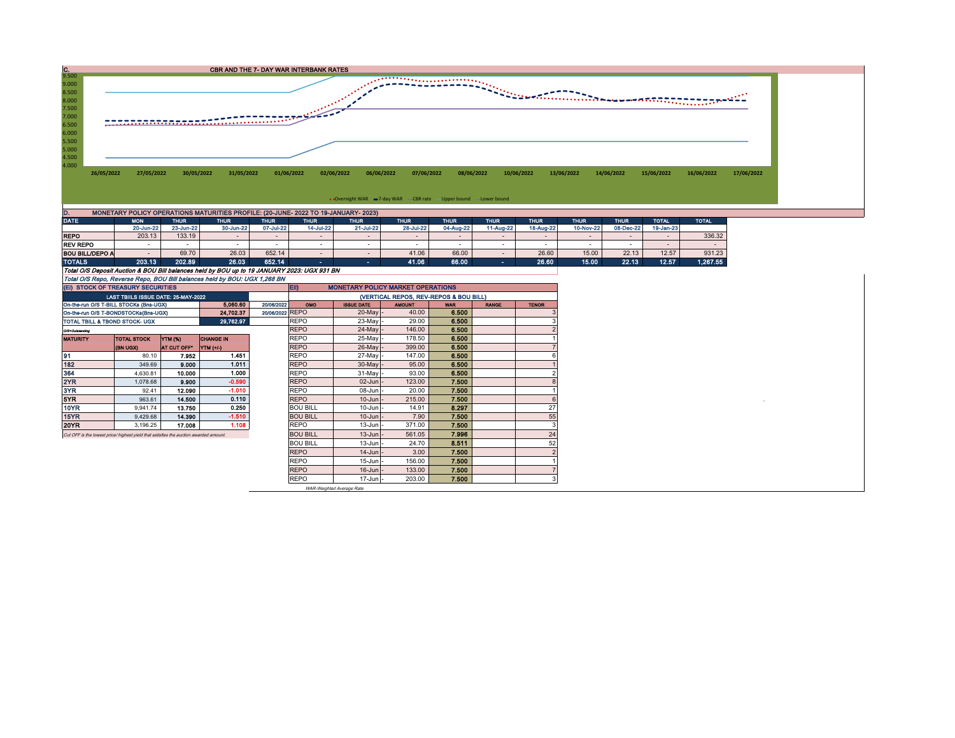

| <b>DATE</b>                                                               | <b>MON</b>                                                                                  | <b>THUR</b> | <b>THUR</b> | <b>THUR</b> | <b>THUR</b> | <b>THUR</b> | <b>THUR</b> | <b>THUR</b> | <b>THUR</b> | <b>THUR</b> | <b>THUR</b> | <b>THUR</b> | <b>TOTAL</b> | <b>TOTAL</b> |
|---------------------------------------------------------------------------|---------------------------------------------------------------------------------------------|-------------|-------------|-------------|-------------|-------------|-------------|-------------|-------------|-------------|-------------|-------------|--------------|--------------|
|                                                                           | 20-Jun-22                                                                                   | 23-Jun-22   | 30-Jun-22   | 07-Jul-22   | 14-Jul-22   | 21-Jul-22   | 28-Jul-22   | 04-Aug-22   | 11-Aug-22   | 18-Aug-22   | 10-Nov-22   | 08-Dec-22   | 19-Jan-23    |              |
| <b>REPO</b>                                                               | 203.13                                                                                      | 133.19      | $\sim$      |             |             |             |             |             |             |             |             |             |              | 336.32       |
| <b>REV REPO</b>                                                           |                                                                                             |             |             |             |             |             |             |             |             |             |             |             |              |              |
| <b>BOU BILL/DEPO A</b>                                                    |                                                                                             | 69.70       | 26.03       | 652.14      |             |             | 41.06       | 66.00       |             | 26.60       | 15.00       | 22.13       | 12.57        | 931.23       |
| <b>TOTALS</b>                                                             | 203.13                                                                                      | 202.89      | 26.03       | 652.14      |             | <b>1999</b> | 41.06       | 66.00       |             | 26.60       | 15.00       | 22.13       | 12.57        | 1,267.55     |
|                                                                           | Total O/S Deposit Auction & BOU Bill balances held by BOU up to 19 JANUARY 2023: UGX 931 BN |             |             |             |             |             |             |             |             |             |             |             |              |              |
| Total O/S Repo, Reverse Repo, BOU Bill balances held by BOU: UGX 1,268 BN |                                                                                             |             |             |             |             |             |             |             |             |             |             |             |              |              |

|                                                                      | (EI) STOCK OF TREASURY SECURITIES                                                    |             |                  |  | EII)<br><b>MONETARY POLICY MARKET OPERATIONS</b> |                   |               |            |              |              |  |  |  |
|----------------------------------------------------------------------|--------------------------------------------------------------------------------------|-------------|------------------|--|--------------------------------------------------|-------------------|---------------|------------|--------------|--------------|--|--|--|
|                                                                      | LAST TBIILS ISSUE DATE: 25-MAY-2022                                                  |             |                  |  | (VERTICAL REPOS, REV-REPOS & BOU BILL)           |                   |               |            |              |              |  |  |  |
| 5.060.60<br>20/06/2022<br>On-the-run O/S T-BILL STOCKs (Bns-UGX)     |                                                                                      |             |                  |  |                                                  | <b>ISSUE DATE</b> | <b>AMOUNT</b> | <b>WAR</b> | <b>RANGE</b> | <b>TENOR</b> |  |  |  |
| 20/06/2022 REPO<br>24.702.37<br>On-the-run O/S T-BONDSTOCKs(Bns-UGX) |                                                                                      |             |                  |  |                                                  | $20$ -May -       | 40.00         | 6.500      |              |              |  |  |  |
|                                                                      | TOTAL TBILL & TBOND STOCK- UGX                                                       |             | 29.762.97        |  | <b>REPO</b>                                      | $23$ -May         | 29.00         | 6.500      |              |              |  |  |  |
| 0/3=Outstanding                                                      |                                                                                      |             |                  |  | <b>REPO</b>                                      | 24-May -          | 146.00        | 6.500      |              |              |  |  |  |
| <b>MATURITY</b>                                                      | <b>TOTAL STOCK</b>                                                                   | YTM (%)     | <b>CHANGE IN</b> |  | <b>REPO</b>                                      | 25-May -          | 178.50        | 6.500      |              |              |  |  |  |
|                                                                      | (BN UGX)                                                                             | AT CUT OFF* | YTM (+/-)        |  | <b>REPO</b>                                      | $26$ -May -       | 399.00        | 6,500      |              |              |  |  |  |
| 91                                                                   | 80.10                                                                                | 7.952       | 1.451            |  | <b>REPO</b>                                      | 27-May -          | 147.00        | 6.500      |              |              |  |  |  |
| 182                                                                  | 349.69                                                                               | 9.000       | 1.011            |  | <b>REPO</b>                                      | 30-May -          | 95.00         | 6.500      |              |              |  |  |  |
| 364                                                                  | 4.630.81                                                                             | 10.000      | 1.000            |  | <b>REPO</b>                                      | 31-May -          | 93.00         | 6.500      |              |              |  |  |  |
| 2YR                                                                  | 1.078.68                                                                             | 9.900       | $-0.590$         |  | <b>REPO</b>                                      | $02$ -Jun $-$     | 123.00        | 7.500      |              |              |  |  |  |
| 3YR                                                                  | 92.41                                                                                | 12.090      | $-1.010$         |  | <b>REPO</b>                                      | 08-Jun -          | 20.00         | 7.500      |              |              |  |  |  |
| 5YR.                                                                 | 963.61                                                                               | 14,500      | 0.110            |  | <b>REPO</b>                                      | $10$ -Jun $-$     | 215.00        | 7.500      |              |              |  |  |  |
| 10YR                                                                 | 9.941.74                                                                             | 13.750      | 0.250            |  | <b>BOU BILL</b>                                  | $10$ -Jun $-$     | 14.91         | 8.297      |              | 27           |  |  |  |
| 15YR                                                                 | 9.429.68                                                                             | 14.390      | $-1.510$         |  | <b>BOU BILL</b>                                  | $10$ -Jun $-$     | 7.90          | 7.500      |              | 55           |  |  |  |
| 20YR                                                                 | 3,196.25                                                                             | 17.008      | 1.108            |  | <b>REPO</b>                                      | $13$ -Jun $-$     | 371.00        | 7.500      |              |              |  |  |  |
|                                                                      | Cut OFF is the lowest price/highest vield that satisfies the auction awarded amount. |             |                  |  | <b>BOU BILL</b>                                  | $13$ -Jun $-$     | 561.05        | 7.996      |              | 24           |  |  |  |
|                                                                      |                                                                                      |             |                  |  | <b>BOU BILL</b>                                  | $13$ -Jun $-$     | 24.70         | 8.511      |              | 52           |  |  |  |
|                                                                      |                                                                                      |             |                  |  | <b>REPO</b>                                      | $14$ -Jun $-$     | 3.00          | 7.500      |              |              |  |  |  |
|                                                                      |                                                                                      |             |                  |  | <b>REPO</b>                                      | $15$ -Jun $-$     | 156.00        | 7.500      |              |              |  |  |  |
|                                                                      |                                                                                      |             |                  |  | <b>REPO</b>                                      | $16$ -Jun $-$     | 133.00        | 7.500      |              |              |  |  |  |
|                                                                      |                                                                                      |             |                  |  | <b>REPO</b>                                      | $17$ -Jun $-$     | 203.00        | 7.500      |              |              |  |  |  |

WAR-Weighted Average Rate